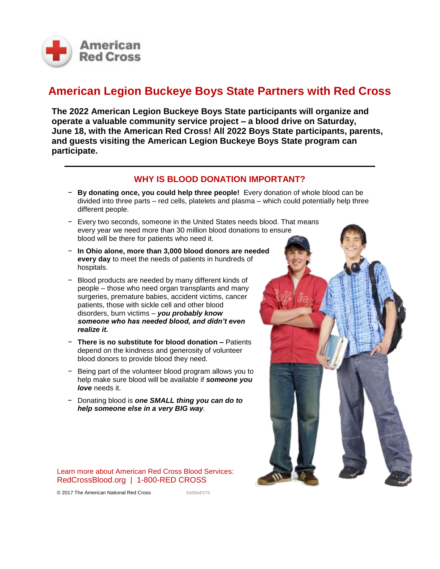

## **American Legion Buckeye Boys State Partners with Red Cross**

**The 2022 American Legion Buckeye Boys State participants will organize and operate a valuable community service project – a blood drive on Saturday, June 18, with the American Red Cross! All 2022 Boys State participants, parents, and guests visiting the American Legion Buckeye Boys State program can participate.**

## **WHY IS BLOOD DONATION IMPORTANT?**

- − **By donating once, you could help three people!** Every donation of whole blood can be divided into three parts – red cells, platelets and plasma – which could potentially help three different people.
- − Every two seconds, someone in the United States needs blood. That means every year we need more than 30 million blood donations to ensure blood will be there for patients who need it.
- − **In Ohio alone, more than 3,000 blood donors are needed every day** to meet the needs of patients in hundreds of hospitals.
- − Blood products are needed by many different kinds of people – those who need organ transplants and many surgeries, premature babies, accident victims, cancer patients, those with sickle cell and other blood disorders, burn victims – *you probably know someone who has needed blood, and didn't even realize it.*
- − **There is no substitute for blood donation –** Patients depend on the kindness and generosity of volunteer blood donors to provide blood they need.
- − Being part of the volunteer blood program allows you to help make sure blood will be available if *someone you love* needs it.
- − Donating blood is *one SMALL thing you can do to help someone else in a very BIG way.*

Learn more about American Red Cross Blood Services: RedCrossBlood.org | 1-800-RED CROSS